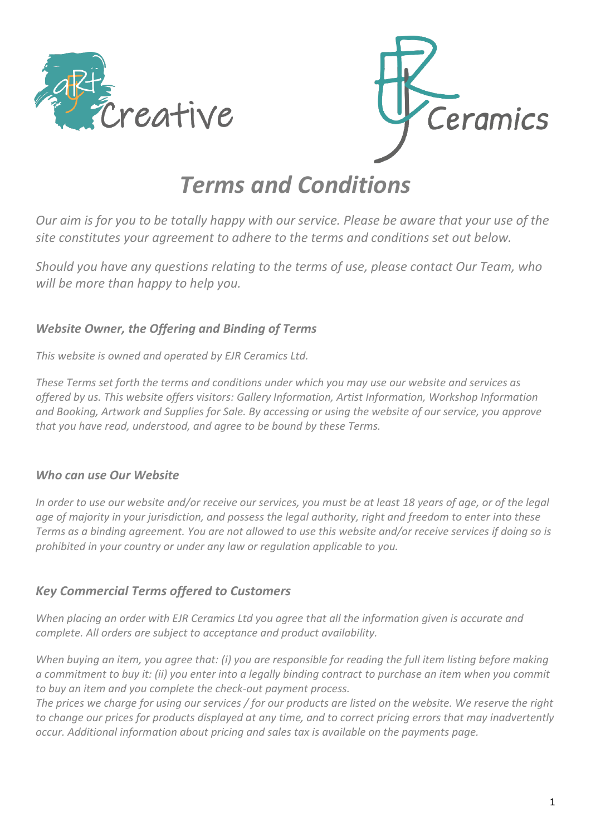



# *Terms and Conditions*

*Our aim is for you to be totally happy with our service. Please be aware that your use of the site constitutes your agreement to adhere to the terms and conditions set out below.*

*Should you have any questions relating to the terms of use, please contact Our Team, who will be more than happy to help you.*

#### *Website Owner, the Offering and Binding of Terms*

*This website is owned and operated by EJR Ceramics Ltd.*

*These Terms set forth the terms and conditions under which you may use our website and services as offered by us. This website offers visitors: Gallery Information, Artist Information, Workshop Information and Booking, Artwork and Supplies for Sale. By accessing or using the website of our service, you approve that you have read, understood, and agree to be bound by these Terms.*

#### *Who can use Our Website*

*In order to use our website and/or receive our services, you must be at least 18 years of age, or of the legal age of majority in your jurisdiction, and possess the legal authority, right and freedom to enter into these Terms as a binding agreement. You are not allowed to use this website and/or receive services if doing so is prohibited in your country or under any law or regulation applicable to you.*

## *Key Commercial Terms offered to Customers*

*When placing an order with EJR Ceramics Ltd you agree that all the information given is accurate and complete. All orders are subject to acceptance and product availability.*

*When buying an item, you agree that: (i) you are responsible for reading the full item listing before making a commitment to buy it: (ii) you enter into a legally binding contract to purchase an item when you commit to buy an item and you complete the check-out payment process.*

*The prices we charge for using our services / for our products are listed on the website. We reserve the right to change our prices for products displayed at any time, and to correct pricing errors that may inadvertently occur. Additional information about pricing and sales tax is available on the payments page.*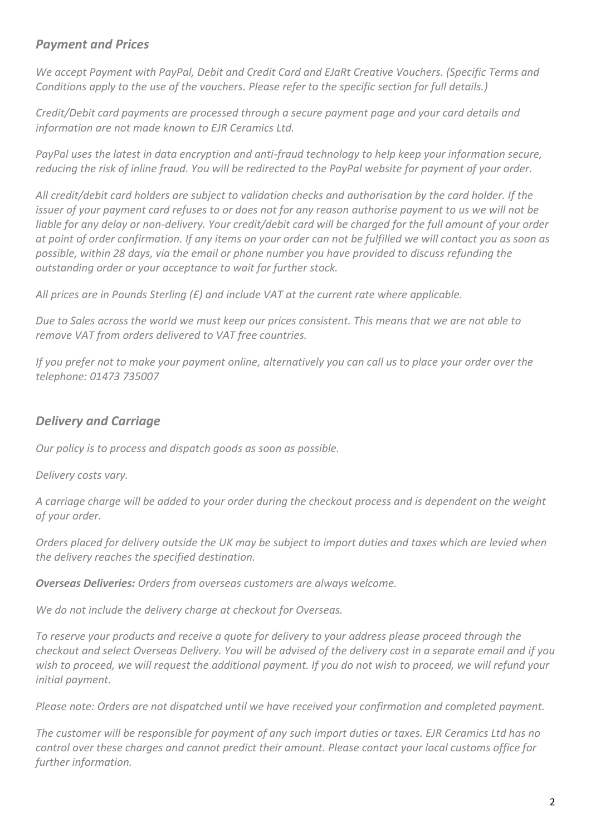## *Payment and Prices*

*We accept Payment with PayPal, Debit and Credit Card and EJaRt Creative Vouchers. (Specific Terms and Conditions apply to the use of the vouchers. Please refer to the specific section for full details.)*

*Credit/Debit card payments are processed through a secure payment page and your card details and information are not made known to EJR Ceramics Ltd.*

*PayPal uses the latest in data encryption and anti-fraud technology to help keep your information secure, reducing the risk of inline fraud. You will be redirected to the PayPal website for payment of your order.*

*All credit/debit card holders are subject to validation checks and authorisation by the card holder. If the issuer of your payment card refuses to or does not for any reason authorise payment to us we will not be liable for any delay or non-delivery. Your credit/debit card will be charged for the full amount of your order at point of order confirmation. If any items on your order can not be fulfilled we will contact you as soon as possible, within 28 days, via the email or phone number you have provided to discuss refunding the outstanding order or your acceptance to wait for further stock.*

*All prices are in Pounds Sterling (£) and include VAT at the current rate where applicable.*

*Due to Sales across the world we must keep our prices consistent. This means that we are not able to remove VAT from orders delivered to VAT free countries.*

*If you prefer not to make your payment online, alternatively you can call us to place your order over the telephone: 01473 735007*

# *Delivery and Carriage*

*Our policy is to process and dispatch goods as soon as possible.*

*Delivery costs vary.*

*A carriage charge will be added to your order during the checkout process and is dependent on the weight of your order.*

*Orders placed for delivery outside the UK may be subject to import duties and taxes which are levied when the delivery reaches the specified destination.* 

*Overseas Deliveries: Orders from overseas customers are always welcome.*

*We do not include the delivery charge at checkout for Overseas.*

*To reserve your products and receive a quote for delivery to your address please proceed through the checkout and select Overseas Delivery. You will be advised of the delivery cost in a separate email and if you wish to proceed, we will request the additional payment. If you do not wish to proceed, we will refund your initial payment.*

*Please note: Orders are not dispatched until we have received your confirmation and completed payment.*

*The customer will be responsible for payment of any such import duties or taxes. EJR Ceramics Ltd has no control over these charges and cannot predict their amount. Please contact your local customs office for further information.*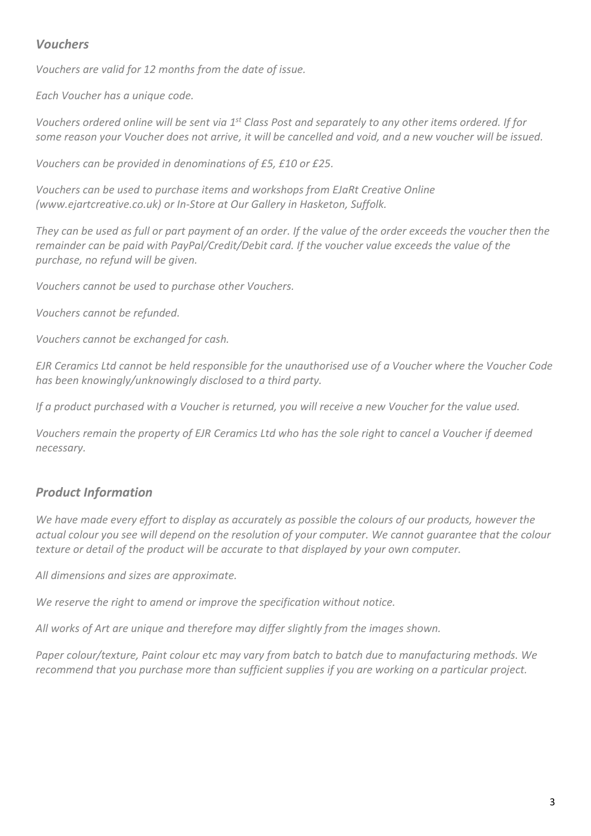## *Vouchers*

*Vouchers are valid for 12 months from the date of issue.*

*Each Voucher has a unique code.*

*Vouchers ordered online will be sent via 1st Class Post and separately to any other items ordered. If for some reason your Voucher does not arrive, it will be cancelled and void, and a new voucher will be issued.*

*Vouchers can be provided in denominations of £5, £10 or £25.*

*Vouchers can be used to purchase items and workshops from EJaRt Creative Online (www.ejartcreative.co.uk) or In-Store at Our Gallery in Hasketon, Suffolk.*

*They can be used as full or part payment of an order. If the value of the order exceeds the voucher then the remainder can be paid with PayPal/Credit/Debit card. If the voucher value exceeds the value of the purchase, no refund will be given.*

*Vouchers cannot be used to purchase other Vouchers.*

*Vouchers cannot be refunded.*

*Vouchers cannot be exchanged for cash.*

*EJR Ceramics Ltd cannot be held responsible for the unauthorised use of a Voucher where the Voucher Code has been knowingly/unknowingly disclosed to a third party.*

*If a product purchased with a Voucher is returned, you will receive a new Voucher for the value used.*

*Vouchers remain the property of EJR Ceramics Ltd who has the sole right to cancel a Voucher if deemed necessary.*

## *Product Information*

*We have made every effort to display as accurately as possible the colours of our products, however the actual colour you see will depend on the resolution of your computer. We cannot guarantee that the colour texture or detail of the product will be accurate to that displayed by your own computer.*

*All dimensions and sizes are approximate.*

*We reserve the right to amend or improve the specification without notice.*

*All works of Art are unique and therefore may differ slightly from the images shown.*

*Paper colour/texture, Paint colour etc may vary from batch to batch due to manufacturing methods. We recommend that you purchase more than sufficient supplies if you are working on a particular project.*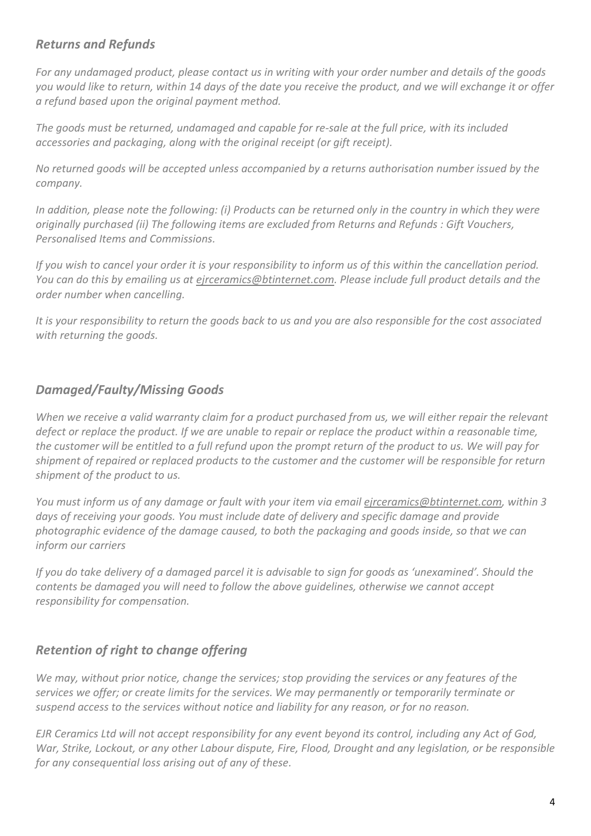## *Returns and Refunds*

*For any undamaged product, please contact us in writing with your order number and details of the goods you would like to return, within 14 days of the date you receive the product, and we will exchange it or offer a refund based upon the original payment method.* 

*The goods must be returned, undamaged and capable for re-sale at the full price, with its included accessories and packaging, along with the original receipt (or gift receipt).*

*No returned goods will be accepted unless accompanied by a returns authorisation number issued by the company.*

*In addition, please note the following: (i) Products can be returned only in the country in which they were originally purchased (ii) The following items are excluded from Returns and Refunds : Gift Vouchers, Personalised Items and Commissions.*

*If you wish to cancel your order it is your responsibility to inform us of this within the cancellation period. You can do this by emailing us at [ejrceramics@btinternet.com.](mailto:ejrceramics@btinternet.com) Please include full product details and the order number when cancelling.*

*It is your responsibility to return the goods back to us and you are also responsible for the cost associated with returning the goods.*

## *Damaged/Faulty/Missing Goods*

*When we receive a valid warranty claim for a product purchased from us, we will either repair the relevant defect or replace the product. If we are unable to repair or replace the product within a reasonable time, the customer will be entitled to a full refund upon the prompt return of the product to us. We will pay for shipment of repaired or replaced products to the customer and the customer will be responsible for return shipment of the product to us.*

*You must inform us of any damage or fault with your item via emai[l ejrceramics@btinternet.com,](mailto:ejrceramics@btinternet.com) within 3 days of receiving your goods. You must include date of delivery and specific damage and provide photographic evidence of the damage caused, to both the packaging and goods inside, so that we can inform our carriers*

*If you do take delivery of a damaged parcel it is advisable to sign for goods as 'unexamined'. Should the contents be damaged you will need to follow the above guidelines, otherwise we cannot accept responsibility for compensation.*

# *Retention of right to change offering*

*We may, without prior notice, change the services; stop providing the services or any features of the services we offer; or create limits for the services. We may permanently or temporarily terminate or suspend access to the services without notice and liability for any reason, or for no reason.*

*EJR Ceramics Ltd will not accept responsibility for any event beyond its control, including any Act of God, War, Strike, Lockout, or any other Labour dispute, Fire, Flood, Drought and any legislation, or be responsible for any consequential loss arising out of any of these.*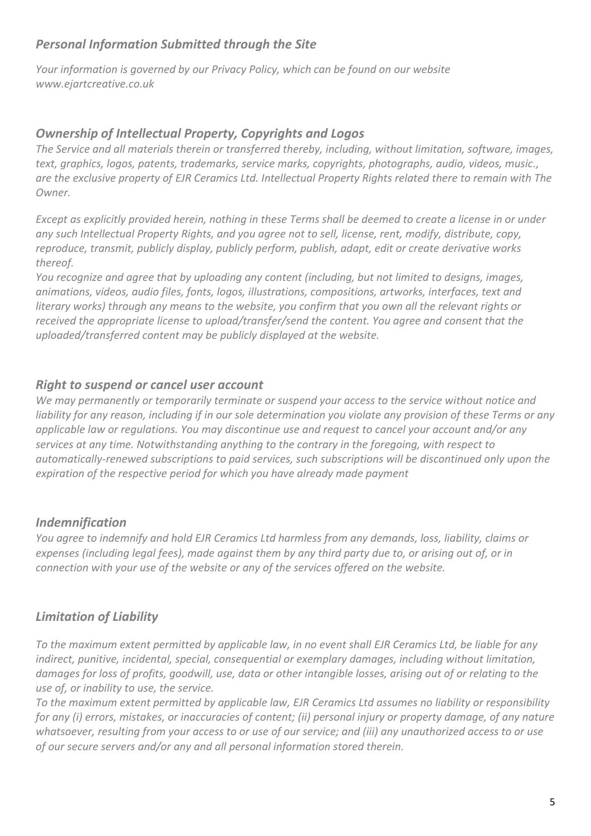## *Personal Information Submitted through the Site*

*Your information is governed by our Privacy Policy, which can be found on our website www.ejartcreative.co.uk*

## *Ownership of Intellectual Property, Copyrights and Logos*

*The Service and all materials therein or transferred thereby, including, without limitation, software, images, text, graphics, logos, patents, trademarks, service marks, copyrights, photographs, audio, videos, music., are the exclusive property of EJR Ceramics Ltd. Intellectual Property Rights related there to remain with The Owner.*

*Except as explicitly provided herein, nothing in these Terms shall be deemed to create a license in or under any such Intellectual Property Rights, and you agree not to sell, license, rent, modify, distribute, copy, reproduce, transmit, publicly display, publicly perform, publish, adapt, edit or create derivative works thereof.*

*You recognize and agree that by uploading any content (including, but not limited to designs, images, animations, videos, audio files, fonts, logos, illustrations, compositions, artworks, interfaces, text and literary works) through any means to the website, you confirm that you own all the relevant rights or received the appropriate license to upload/transfer/send the content. You agree and consent that the uploaded/transferred content may be publicly displayed at the website.*

## *Right to suspend or cancel user account*

*We may permanently or temporarily terminate or suspend your access to the service without notice and liability for any reason, including if in our sole determination you violate any provision of these Terms or any applicable law or regulations. You may discontinue use and request to cancel your account and/or any services at any time. Notwithstanding anything to the contrary in the foregoing, with respect to automatically-renewed subscriptions to paid services, such subscriptions will be discontinued only upon the expiration of the respective period for which you have already made payment*

#### *Indemnification*

*You agree to indemnify and hold EJR Ceramics Ltd harmless from any demands, loss, liability, claims or expenses (including legal fees), made against them by any third party due to, or arising out of, or in connection with your use of the website or any of the services offered on the website.*

## *Limitation of Liability*

*To the maximum extent permitted by applicable law, in no event shall EJR Ceramics Ltd, be liable for any indirect, punitive, incidental, special, consequential or exemplary damages, including without limitation, damages for loss of profits, goodwill, use, data or other intangible losses, arising out of or relating to the use of, or inability to use, the service.*

*To the maximum extent permitted by applicable law, EJR Ceramics Ltd assumes no liability or responsibility for any (i) errors, mistakes, or inaccuracies of content; (ii) personal injury or property damage, of any nature whatsoever, resulting from your access to or use of our service; and (iii) any unauthorized access to or use of our secure servers and/or any and all personal information stored therein.*